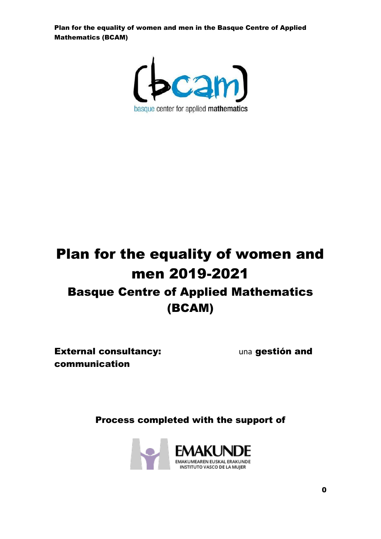

# Plan for the equality of women and men 2019-2021 Basque Centre of Applied Mathematics (BCAM)

**External consultancy:** The una gestión and communication

Process completed with the support of

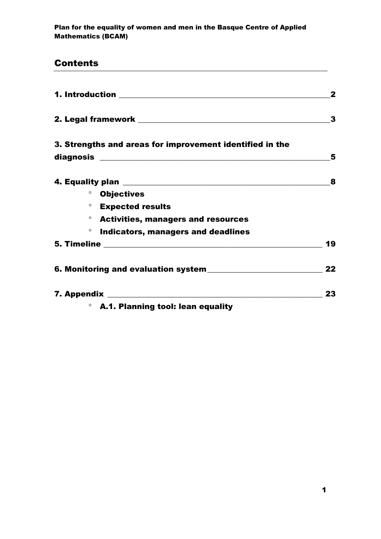# Contents

|         | 1. Introduction _________________________________        | $\mathbf{2}$ |
|---------|----------------------------------------------------------|--------------|
|         |                                                          | 3            |
|         | 3. Strengths and areas for improvement identified in the | 5            |
|         |                                                          | 8            |
|         | <b><sup>o</sup></b> Objectives                           |              |
|         | <b>Expected results</b>                                  |              |
|         | <sup>o</sup> Activities, managers and resources          |              |
| $\circ$ | Indicators, managers and deadlines                       |              |
|         |                                                          | 19           |
|         |                                                          | 22           |
|         |                                                          | 23           |
|         | ○ A.1. Planning tool: lean equality                      |              |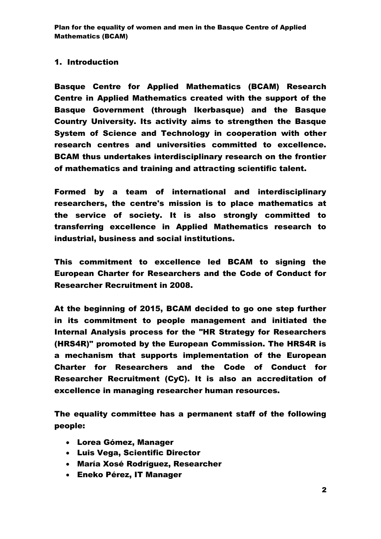### 1. Introduction

Basque Centre for Applied Mathematics (BCAM) Research Centre in Applied Mathematics created with the support of the Basque Government (through Ikerbasque) and the Basque Country University. Its activity aims to strengthen the Basque System of Science and Technology in cooperation with other research centres and universities committed to excellence. BCAM thus undertakes interdisciplinary research on the frontier of mathematics and training and attracting scientific talent.

Formed by a team of international and interdisciplinary researchers, the centre's mission is to place mathematics at the service of society. It is also strongly committed to transferring excellence in Applied Mathematics research to industrial, business and social institutions.

This commitment to excellence led BCAM to signing the European Charter for Researchers and the Code of Conduct for Researcher Recruitment in 2008.

At the beginning of 2015, BCAM decided to go one step further in its commitment to people management and initiated the Internal Analysis process for the "HR Strategy for Researchers (HRS4R)" promoted by the European Commission. The HRS4R is a mechanism that supports implementation of the European Charter for Researchers and the Code of Conduct for Researcher Recruitment (CyC). It is also an accreditation of excellence in managing researcher human resources.

The equality committee has a permanent staff of the following people:

- Lorea Gómez, Manager
- Luis Vega, Scientific Director
- María Xosé Rodríguez, Researcher
- Eneko Pérez, IT Manager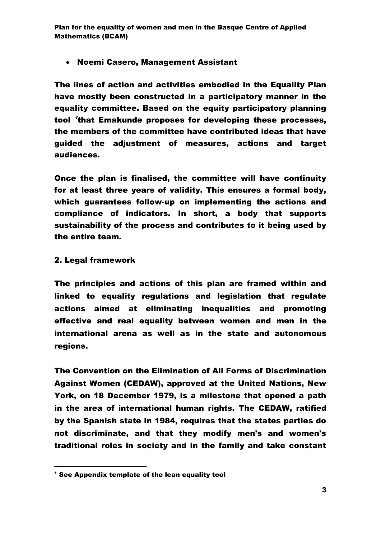### • Noemi Casero, Management Assistant

The lines of action and activities embodied in the Equality Plan have mostly been constructed in a participatory manner in the equality committee. Based on the equity participatory planning tool 'that Emakunde proposes for developing these processes, the members of the committee have contributed ideas that have guided the adjustment of measures, actions and target audiences.

Once the plan is finalised, the committee will have continuity for at least three years of validity. This ensures a formal body, which guarantees follow-up on implementing the actions and compliance of indicators. In short, a body that supports sustainability of the process and contributes to it being used by the entire team.

#### 2. Legal framework

.

The principles and actions of this plan are framed within and linked to equality regulations and legislation that regulate actions aimed at eliminating inequalities and promoting effective and real equality between women and men in the international arena as well as in the state and autonomous regions.

The Convention on the Elimination of All Forms of Discrimination Against Women (CEDAW), approved at the United Nations, New York, on 18 December 1979, is a milestone that opened a path in the area of international human rights. The CEDAW, ratified by the Spanish state in 1984, requires that the states parties do not discriminate, and that they modify men's and women's traditional roles in society and in the family and take constant

<sup>&</sup>lt;sup>1</sup> See Appendix template of the lean equality tool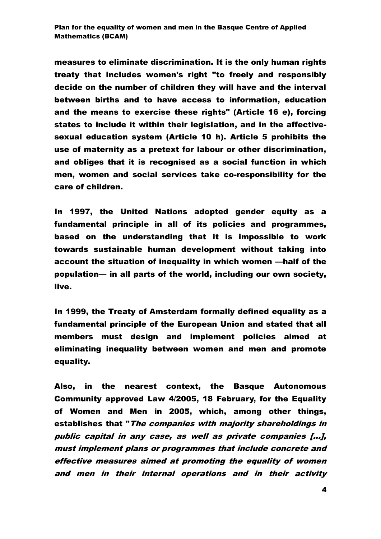measures to eliminate discrimination. It is the only human rights treaty that includes women's right "to freely and responsibly decide on the number of children they will have and the interval between births and to have access to information, education and the means to exercise these rights" (Article 16 e), forcing states to include it within their legislation, and in the affectivesexual education system (Article 10 h). Article 5 prohibits the use of maternity as a pretext for labour or other discrimination, and obliges that it is recognised as a social function in which men, women and social services take co-responsibility for the care of children.

In 1997, the United Nations adopted gender equity as a fundamental principle in all of its policies and programmes, based on the understanding that it is impossible to work towards sustainable human development without taking into account the situation of inequality in which women —half of the population— in all parts of the world, including our own society, live.

In 1999, the Treaty of Amsterdam formally defined equality as a fundamental principle of the European Union and stated that all members must design and implement policies aimed at eliminating inequality between women and men and promote equality.

Also, in the nearest context, the Basque Autonomous Community approved Law 4/2005, 18 February, for the Equality of Women and Men in 2005, which, among other things, establishes that "The companies with majority shareholdings in public capital in any case, as well as private companies [...], must implement plans or programmes that include concrete and effective measures aimed at promoting the equality of women and men in their internal operations and in their activity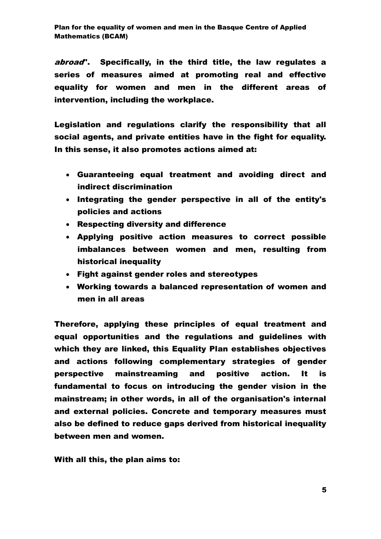abroad". Specifically, in the third title, the law regulates a series of measures aimed at promoting real and effective equality for women and men in the different areas of intervention, including the workplace.

Legislation and regulations clarify the responsibility that all social agents, and private entities have in the fight for equality. In this sense, it also promotes actions aimed at:

- Guaranteeing equal treatment and avoiding direct and indirect discrimination
- Integrating the gender perspective in all of the entity's policies and actions
- Respecting diversity and difference
- Applying positive action measures to correct possible imbalances between women and men, resulting from historical inequality
- Fight against gender roles and stereotypes
- Working towards a balanced representation of women and men in all areas

Therefore, applying these principles of equal treatment and equal opportunities and the regulations and guidelines with which they are linked, this Equality Plan establishes objectives and actions following complementary strategies of gender perspective mainstreaming and positive action. It is fundamental to focus on introducing the gender vision in the mainstream; in other words, in all of the organisation's internal and external policies. Concrete and temporary measures must also be defined to reduce gaps derived from historical inequality between men and women.

With all this, the plan aims to: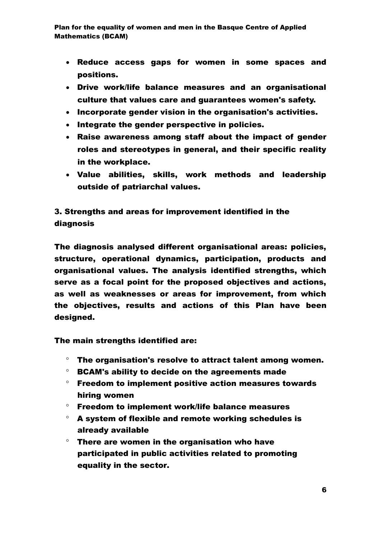- Reduce access gaps for women in some spaces and positions.
- Drive work/life balance measures and an organisational culture that values care and guarantees women's safety.
- Incorporate gender vision in the organisation's activities.
- Integrate the gender perspective in policies.
- Raise awareness among staff about the impact of gender roles and stereotypes in general, and their specific reality in the workplace.
- Value abilities, skills, work methods and leadership outside of patriarchal values.

## 3. Strengths and areas for improvement identified in the diagnosis

The diagnosis analysed different organisational areas: policies, structure, operational dynamics, participation, products and organisational values. The analysis identified strengths, which serve as a focal point for the proposed objectives and actions, as well as weaknesses or areas for improvement, from which the objectives, results and actions of this Plan have been designed.

The main strengths identified are:

- $\degree$  The organisation's resolve to attract talent among women.
- $\degree$  BCAM's ability to decide on the agreements made
- $\degree$  Freedom to implement positive action measures towards hiring women
- $\degree$  Freedom to implement work/life balance measures
- $\degree$  A system of flexible and remote working schedules is already available
- $\degree$  There are women in the organisation who have participated in public activities related to promoting equality in the sector.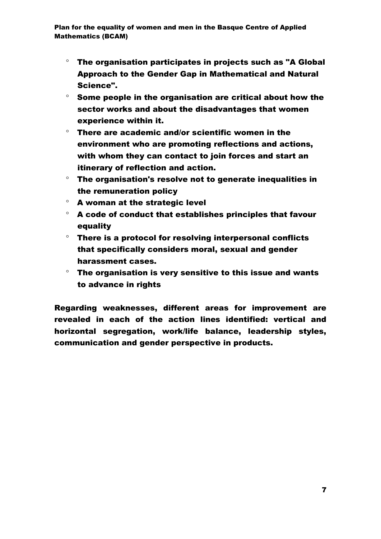- $\degree$  The organisation participates in projects such as "A Global Approach to the Gender Gap in Mathematical and Natural Science".
- $\degree$  Some people in the organisation are critical about how the sector works and about the disadvantages that women experience within it.
- $\degree$  There are academic and/or scientific women in the environment who are promoting reflections and actions, with whom they can contact to join forces and start an itinerary of reflection and action.
- $\degree$  The organisation's resolve not to generate inequalities in the remuneration policy
- $\degree$  A woman at the strategic level
- $\degree$  A code of conduct that establishes principles that favour equality
- $\degree$  There is a protocol for resolving interpersonal conflicts that specifically considers moral, sexual and gender harassment cases.
- $\degree$  The organisation is very sensitive to this issue and wants to advance in rights

Regarding weaknesses, different areas for improvement are revealed in each of the action lines identified: vertical and horizontal segregation, work/life balance, leadership styles, communication and gender perspective in products.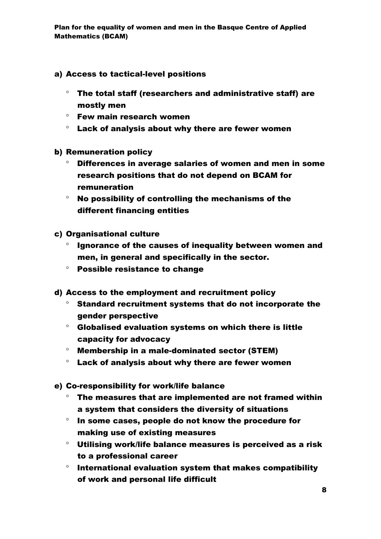- a) Access to tactical-level positions
	- $\degree$  The total staff (researchers and administrative staff) are mostly men
	- Few main research women
	- $\degree$  Lack of analysis about why there are fewer women
- b) Remuneration policy
	- $\degree$  Differences in average salaries of women and men in some research positions that do not depend on BCAM for remuneration
	- $\degree$  No possibility of controlling the mechanisms of the different financing entities
- c) Organisational culture
	- $\degree$  Ignorance of the causes of inequality between women and men, in general and specifically in the sector.
	- Possible resistance to change
- d) Access to the employment and recruitment policy
	- $\degree$  Standard recruitment systems that do not incorporate the gender perspective
	- $\degree$  Globalised evaluation systems on which there is little capacity for advocacy
	- $^{\circ}$  Membership in a male-dominated sector (STEM)
	- $\degree$  Lack of analysis about why there are fewer women
- e) Co-responsibility for work/life balance
	- The measures that are implemented are not framed within a system that considers the diversity of situations
	- $\degree$  In some cases, people do not know the procedure for making use of existing measures
	- Utilising work/life balance measures is perceived as a risk to a professional career
	- $\degree$  International evaluation system that makes compatibility of work and personal life difficult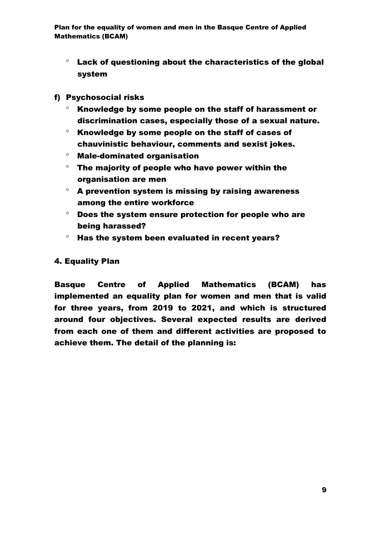- $\degree$  Lack of questioning about the characteristics of the global system
- f) Psychosocial risks
	- $\degree$  Knowledge by some people on the staff of harassment or discrimination cases, especially those of a sexual nature.
	- $\degree$  Knowledge by some people on the staff of cases of chauvinistic behaviour, comments and sexist jokes.
	- $^{\circ}$  Male-dominated organisation
	- $\degree$  The majority of people who have power within the organisation are men
	- $\degree$  A prevention system is missing by raising awareness among the entire workforce
	- $\degree$  Does the system ensure protection for people who are being harassed?
	- $\degree$  Has the system been evaluated in recent years?

### 4. Equality Plan

Basque Centre of Applied Mathematics (BCAM) has implemented an equality plan for women and men that is valid for three years, from 2019 to 2021, and which is structured around four objectives. Several expected results are derived from each one of them and different activities are proposed to achieve them. The detail of the planning is: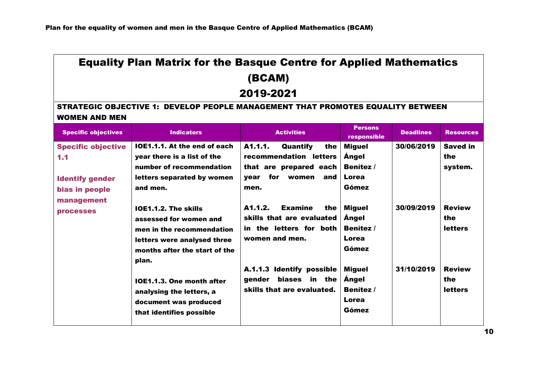# Equality Plan Matrix for the Basque Centre for Applied Mathematics (BCAM)

# 2019-2021

### STRATEGIC OBJECTIVE 1: DEVELOP PEOPLE MANAGEMENT THAT PROMOTES EQUALITY BETWEEN WOMEN AND MEN

| <b>Specific objectives</b>                                 | <b>Indicators</b>                                                                                                                                       | <b>Activities</b>                                                                                                  | <b>Persons</b><br>responsible                                         | <b>Deadlines</b> | <b>Resources</b>                       |
|------------------------------------------------------------|---------------------------------------------------------------------------------------------------------------------------------------------------------|--------------------------------------------------------------------------------------------------------------------|-----------------------------------------------------------------------|------------------|----------------------------------------|
| <b>Specific objective</b><br>1.1<br><b>Identify gender</b> | IOE1.1.1. At the end of each<br>year there is a list of the<br>number of recommendation<br>letters separated by women                                   | A1.1.1.<br>Quantify<br>the<br>recommendation letters<br>that are prepared each<br>for<br>women<br>and l<br>vear    | <b>Miguel</b><br><b>Angel</b><br><b>Benítez /</b><br>Lorea            | 30/06/2019       | <b>Saved in</b><br>the<br>system.      |
| bias in people<br>management<br><b>processes</b>           | and men.<br>IOE1.1.2. The skills<br>assessed for women and<br>men in the recommendation<br>letters were analysed three<br>months after the start of the | men.<br>A1.1.2.<br>the<br><b>Examine</b><br>skills that are evaluated<br>in the letters for both<br>women and men. | Gómez<br><b>Miguel</b><br>Angel<br><b>Benitez</b> /<br>Lorea<br>Gómez | 30/09/2019       | <b>Review</b><br>the<br><b>letters</b> |
|                                                            | plan.<br>IOE1.1.3. One month after<br>analysing the letters, a<br>document was produced<br>that identifies possible                                     | A.1.1.3 Identify possible<br>biases in the<br>gender<br>skills that are evaluated.                                 | <b>Miguel</b><br><b>Angel</b><br><b>Benitez</b> /<br>Lorea<br>Gómez   | 31/10/2019       | <b>Review</b><br>the<br><b>letters</b> |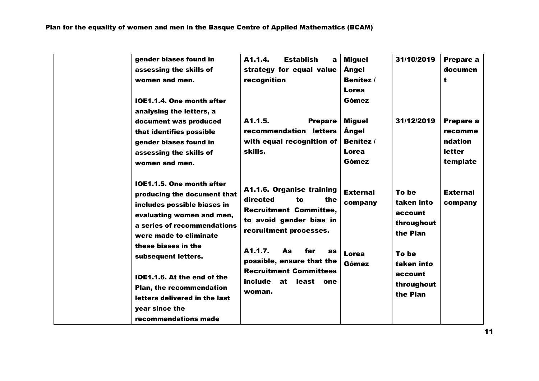| gender biases found in<br>assessing the skills of<br>women and men.<br>IOE1.1.4. One month after<br>analysing the letters, a<br>document was produced<br>that identifies possible<br>gender biases found in<br>assessing the skills of<br>women and men.                                                                                                          | A <sub>1.1.4</sub> .<br><b>Establish</b><br>a<br>strategy for equal value<br>recognition<br>A1.1.5.<br><b>Prepare</b><br>recommendation letters<br>with equal recognition of<br>skills.                                                                                                       | <b>Miguel</b><br>Ángel<br>Benítez /<br>Lorea<br>Gómez<br><b>Miguel</b><br>Ángel<br>Benítez /<br>Lorea<br>Gómez | 31/10/2019<br>31/12/2019                                                                                             | Prepare a<br>documen<br>t<br>Prepare a<br>recomme<br>ndation<br><b>letter</b><br>template |
|-------------------------------------------------------------------------------------------------------------------------------------------------------------------------------------------------------------------------------------------------------------------------------------------------------------------------------------------------------------------|-----------------------------------------------------------------------------------------------------------------------------------------------------------------------------------------------------------------------------------------------------------------------------------------------|----------------------------------------------------------------------------------------------------------------|----------------------------------------------------------------------------------------------------------------------|-------------------------------------------------------------------------------------------|
| IOE1.1.5. One month after<br>producing the document that<br>includes possible biases in<br>evaluating women and men,<br>a series of recommendations<br>were made to eliminate<br>these biases in the<br>subsequent letters.<br>IOE1.1.6. At the end of the<br>Plan, the recommendation<br>letters delivered in the last<br>year since the<br>recommendations made | A1.1.6. Organise training<br>directed<br>the<br>to<br><b>Recruitment Committee,</b><br>to avoid gender bias in<br>recruitment processes.<br>A1.1.7.<br><b>As</b><br>far<br><b>as</b><br>possible, ensure that the<br><b>Recruitment Committees</b><br>include<br>at<br>least<br>one<br>woman. | <b>External</b><br>company<br>Lorea<br>Gómez                                                                   | To be<br>taken into<br>account<br>throughout<br>the Plan<br>To be<br>taken into<br>account<br>throughout<br>the Plan | <b>External</b><br>company                                                                |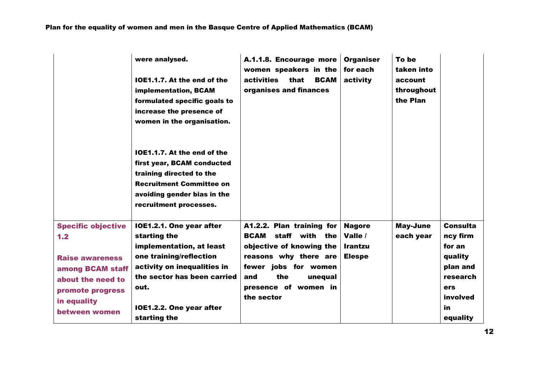|                                                                                                                                                         | were analysed.<br>IOE1.1.7. At the end of the<br>implementation, BCAM<br>formulated specific goals to<br>increase the presence of<br>women in the organisation.                                                   | A.1.1.8. Encourage more<br>women speakers in the<br><b>activities</b><br><b>BCAM</b><br>that<br>organises and finances                                                                              | <b>Organiser</b><br>for each<br>activity                    | To be<br>taken into<br>account<br>throughout<br>the Plan |                                                                                                               |
|---------------------------------------------------------------------------------------------------------------------------------------------------------|-------------------------------------------------------------------------------------------------------------------------------------------------------------------------------------------------------------------|-----------------------------------------------------------------------------------------------------------------------------------------------------------------------------------------------------|-------------------------------------------------------------|----------------------------------------------------------|---------------------------------------------------------------------------------------------------------------|
|                                                                                                                                                         | IOE1.1.7. At the end of the<br>first year, BCAM conducted<br>training directed to the<br><b>Recruitment Committee on</b><br>avoiding gender bias in the<br>recruitment processes.                                 |                                                                                                                                                                                                     |                                                             |                                                          |                                                                                                               |
| <b>Specific objective</b><br>1.2<br><b>Raise awareness</b><br>among BCAM staff<br>about the need to<br>promote progress<br>in equality<br>between women | IOE1.2.1. One year after<br>starting the<br>implementation, at least<br>one training/reflection<br>activity on inequalities in<br>the sector has been carried<br>out.<br>IOE1.2.2. One year after<br>starting the | A1.2.2. Plan training for<br><b>BCAM</b> staff with the<br>objective of knowing the<br>reasons why there are<br>fewer jobs for women<br>the<br>and<br>unequal<br>presence of women in<br>the sector | <b>Nagore</b><br>Valle /<br><b>Irantzu</b><br><b>Elespe</b> | May-June<br>each year                                    | <b>Consulta</b><br>ncy firm<br>for an<br>quality<br>plan and<br>research<br>ers<br>involved<br>in<br>equality |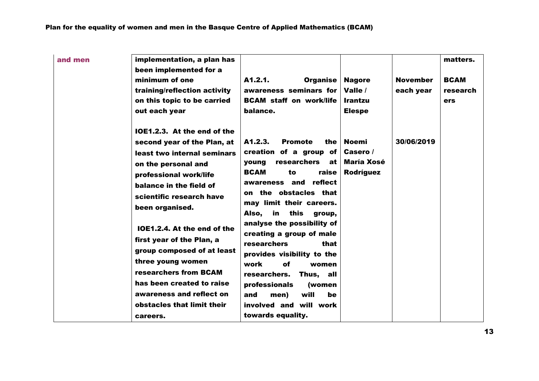| and men | implementation, a plan has<br>been implemented for a<br>minimum of one<br>training/reflection activity<br>on this topic to be carried<br>out each year                                                                                                                                                                                                                                                                                                          | A1.2.1.<br>Organise<br>awareness seminars for<br><b>BCAM</b> staff on work/life<br>balance.                                                                                                                                                                                                                                                                                                                                                                                                                        | <b>Nagore</b><br>Valle /<br><b>Irantzu</b><br><b>Elespe</b> | <b>November</b><br>each year | matters.<br><b>BCAM</b><br>research<br><b>ers</b> |
|---------|-----------------------------------------------------------------------------------------------------------------------------------------------------------------------------------------------------------------------------------------------------------------------------------------------------------------------------------------------------------------------------------------------------------------------------------------------------------------|--------------------------------------------------------------------------------------------------------------------------------------------------------------------------------------------------------------------------------------------------------------------------------------------------------------------------------------------------------------------------------------------------------------------------------------------------------------------------------------------------------------------|-------------------------------------------------------------|------------------------------|---------------------------------------------------|
|         | IOE1.2.3. At the end of the<br>second year of the Plan, at<br>least two internal seminars<br>on the personal and<br>professional work/life<br>balance in the field of<br>scientific research have<br>been organised.<br>IOE1.2.4. At the end of the<br>first year of the Plan, a<br>group composed of at least<br>three young women<br>researchers from BCAM<br>has been created to raise<br>awareness and reflect on<br>obstacles that limit their<br>careers. | A1.2.3.<br><b>Promote</b><br>the<br>creation of a group of<br>researchers<br>young<br>at<br><b>BCAM</b><br>raise<br>to<br>reflect<br>awareness and<br>on the obstacles that<br>may limit their careers.<br>in<br>this<br>Also,<br>group,<br>analyse the possibility of<br>creating a group of male<br>researchers<br>that<br>provides visibility to the<br>of<br>work<br>women<br>researchers.<br>Thus, all<br>professionals<br>(women<br>will<br>and<br>men)<br>be<br>involved and will work<br>towards equality. | <b>Noemi</b><br>Casero /<br><b>María Xosé</b><br>Rodríguez  | 30/06/2019                   |                                                   |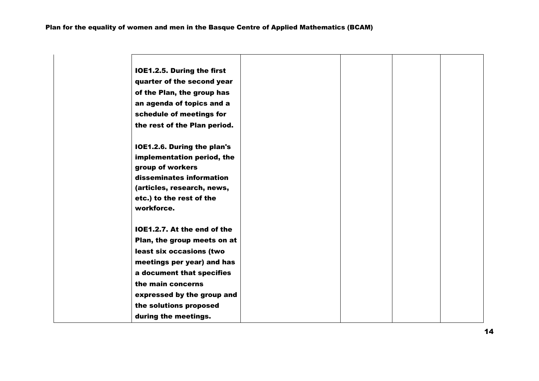| IOE1.2.5. During the first   |  |  |
|------------------------------|--|--|
| quarter of the second year   |  |  |
| of the Plan, the group has   |  |  |
| an agenda of topics and a    |  |  |
| schedule of meetings for     |  |  |
| the rest of the Plan period. |  |  |
| IOE1.2.6. During the plan's  |  |  |
| implementation period, the   |  |  |
| group of workers             |  |  |
| disseminates information     |  |  |
| (articles, research, news,   |  |  |
| etc.) to the rest of the     |  |  |
| workforce.                   |  |  |
| IOE1.2.7. At the end of the  |  |  |
| Plan, the group meets on at  |  |  |
| least six occasions (two     |  |  |
| meetings per year) and has   |  |  |
| a document that specifies    |  |  |
| the main concerns            |  |  |
| expressed by the group and   |  |  |
| the solutions proposed       |  |  |
| during the meetings.         |  |  |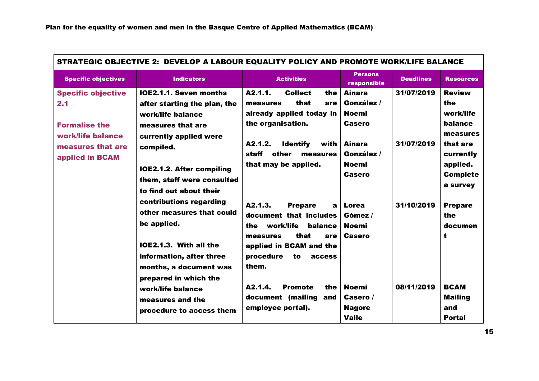| STRATEGIC OBJECTIVE 2: DEVELOP A LABOUR EQUALITY POLICY AND PROMOTE WORK/LIFE BALANCE |                                                                                                                                                                              |                                                                                                                                                                                     |                                                              |                  |                                                                  |  |
|---------------------------------------------------------------------------------------|------------------------------------------------------------------------------------------------------------------------------------------------------------------------------|-------------------------------------------------------------------------------------------------------------------------------------------------------------------------------------|--------------------------------------------------------------|------------------|------------------------------------------------------------------|--|
| <b>Specific objectives</b>                                                            | <b>Indicators</b>                                                                                                                                                            | <b>Activities</b>                                                                                                                                                                   | <b>Persons</b><br>responsible                                | <b>Deadlines</b> | <b>Resources</b>                                                 |  |
| <b>Specific objective</b><br>2.1<br><b>Formalise the</b><br>work/life balance         | <b>IOE2.1.1. Seven months</b><br>after starting the plan, the<br>work/life balance<br>measures that are<br>currently applied were                                            | A2.1.1.<br><b>Collect</b><br>the<br>that<br>measures<br>are<br>already applied today in<br>the organisation.                                                                        | <b>Ainara</b><br>González /<br><b>Noemi</b><br>Casero        | 31/07/2019       | <b>Review</b><br>the<br>work/life<br>balance<br>measures         |  |
| measures that are<br>applied in BCAM                                                  | compiled.<br><b>IOE2.1.2. After compiling</b><br>them, staff were consulted<br>to find out about their                                                                       | A2.1.2.<br><b>Identify</b><br>with  <br>staff<br>other<br>measures<br>that may be applied.                                                                                          | <b>Ainara</b><br>González /<br><b>Noemi</b><br><b>Casero</b> | 31/07/2019       | that are<br>currently<br>applied.<br><b>Complete</b><br>a survey |  |
|                                                                                       | contributions regarding<br>other measures that could<br>be applied.<br>IOE2.1.3. With all the<br>information, after three<br>months, a document was<br>prepared in which the | A2.1.3.<br><b>Prepare</b><br>a<br>document that includes<br>work/life<br>balance<br>the<br>that<br>measures<br>are<br>applied in BCAM and the<br>procedure<br>to<br>access<br>them. | Lorea<br>Gómez /<br><b>Noemi</b><br>Casero                   | 31/10/2019       | <b>Prepare</b><br>the<br>documen<br>t                            |  |
|                                                                                       | work/life balance<br>measures and the<br>procedure to access them                                                                                                            | A2.1.4.<br><b>Promote</b><br>the<br>document (mailing<br>and<br>employee portal).                                                                                                   | <b>Noemi</b><br>Casero /<br><b>Nagore</b><br><b>Valle</b>    | 08/11/2019       | <b>BCAM</b><br><b>Mailing</b><br>and<br><b>Portal</b>            |  |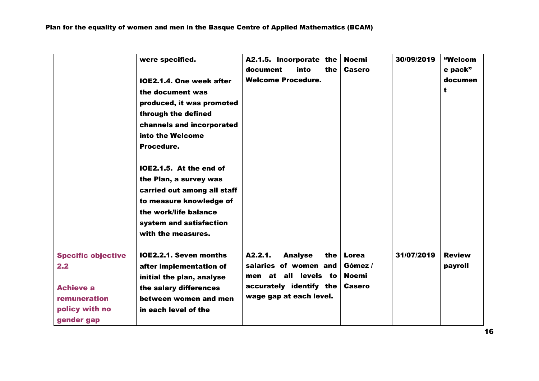|                                                                                                      | were specified.<br>IOE2.1.4. One week after<br>the document was<br>produced, it was promoted<br>through the defined<br>channels and incorporated<br>into the Welcome<br>Procedure.<br>IOE2.1.5. At the end of<br>the Plan, a survey was<br>carried out among all staff<br>to measure knowledge of<br>the work/life balance<br>system and satisfaction<br>with the measures. | A2.1.5. Incorporate the<br>document<br>the<br>into<br><b>Welcome Procedure.</b>                                                         | <b>Noemi</b><br><b>Casero</b>                     | 30/09/2019 | "Welcom<br>e pack"<br>documen<br>t |
|------------------------------------------------------------------------------------------------------|-----------------------------------------------------------------------------------------------------------------------------------------------------------------------------------------------------------------------------------------------------------------------------------------------------------------------------------------------------------------------------|-----------------------------------------------------------------------------------------------------------------------------------------|---------------------------------------------------|------------|------------------------------------|
| <b>Specific objective</b><br>2.2<br><b>Achieve a</b><br>remuneration<br>policy with no<br>gender gap | IOE2.2.1. Seven months<br>after implementation of<br>initial the plan, analyse<br>the salary differences<br>between women and men<br>in each level of the                                                                                                                                                                                                                   | A2.2.1.<br><b>Analyse</b><br>the<br>salaries of women and<br>men at all levels to<br>accurately identify the<br>wage gap at each level. | Lorea<br>Gómez /<br><b>Noemi</b><br><b>Casero</b> | 31/07/2019 | <b>Review</b><br>payroll           |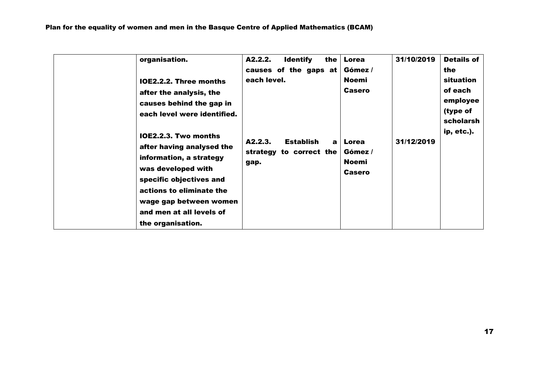| organisation.<br><b>IOE2.2.2. Three months</b><br>after the analysis, the<br>causes behind the gap in<br>each level were identified.                                                                                                        | A2.2.2.<br><b>Identify</b><br>the<br>causes of the gaps at<br>each level. | Lorea<br>Gómez /<br><b>Noemi</b><br><b>Casero</b> | 31/10/2019 | <b>Details of</b><br>the<br>situation<br>of each<br>employee<br>(type of<br>scholarsh<br>ip, etc.). |
|---------------------------------------------------------------------------------------------------------------------------------------------------------------------------------------------------------------------------------------------|---------------------------------------------------------------------------|---------------------------------------------------|------------|-----------------------------------------------------------------------------------------------------|
| <b>IOE2.2.3. Two months</b><br>after having analysed the<br>information, a strategy<br>was developed with<br>specific objectives and<br>actions to eliminate the<br>wage gap between women<br>and men at all levels of<br>the organisation. | A2.2.3.<br><b>Establish</b><br>a l<br>strategy to correct the<br>gap.     | Lorea<br>Gómez /<br>Noemi<br><b>Casero</b>        | 31/12/2019 |                                                                                                     |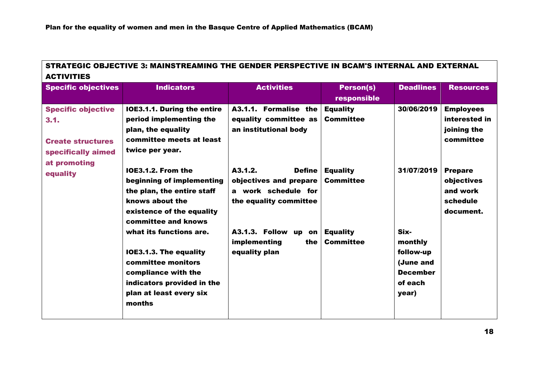| STRATEGIC OBJECTIVE 3: MAINSTREAMING THE GENDER PERSPECTIVE IN BCAM'S INTERNAL AND EXTERNAL |
|---------------------------------------------------------------------------------------------|
| <b>ACTIVITIES</b>                                                                           |

| <b>Specific objectives</b> | <b>Indicators</b>                              | <b>Activities</b>        | <b>Person(s)</b>                    | <b>Deadlines</b> | <b>Resources</b> |
|----------------------------|------------------------------------------------|--------------------------|-------------------------------------|------------------|------------------|
|                            |                                                |                          | responsible                         |                  |                  |
| <b>Specific objective</b>  | <b>IOE3.1.1. During the entire</b>             | A3.1.1. Formalise the    | <b>Equality</b>                     | 30/06/2019       | <b>Employees</b> |
| 3.1.                       | period implementing the                        | equality committee as    | <b>Committee</b>                    |                  | interested in    |
|                            | plan, the equality                             | an institutional body    |                                     |                  | joining the      |
| <b>Create structures</b>   | committee meets at least                       |                          |                                     |                  | committee        |
| specifically aimed         | twice per year.                                |                          |                                     |                  |                  |
| at promoting               |                                                |                          |                                     |                  |                  |
| equality                   | <b>IOE3.1.2. From the</b>                      | A3.1.2.<br><b>Define</b> | <b>Equality</b>                     | 31/07/2019       | <b>Prepare</b>   |
|                            | beginning of implementing                      | objectives and prepare   | <b>Committee</b>                    |                  | objectives       |
|                            | the plan, the entire staff                     | a work schedule for      |                                     |                  | and work         |
|                            | knows about the                                | the equality committee   |                                     |                  | schedule         |
|                            | existence of the equality                      |                          |                                     |                  | document.        |
|                            | committee and knows<br>what its functions are. | A3.1.3. Follow up on     |                                     | Six-             |                  |
|                            |                                                | implementing<br>the      | <b>Equality</b><br><b>Committee</b> | monthly          |                  |
|                            | <b>IOE3.1.3. The equality</b>                  | equality plan            |                                     | follow-up        |                  |
|                            | committee monitors                             |                          |                                     | (June and        |                  |
|                            | compliance with the                            |                          |                                     | <b>December</b>  |                  |
|                            | indicators provided in the                     |                          |                                     | of each          |                  |
|                            | plan at least every six                        |                          |                                     | year)            |                  |
|                            | months                                         |                          |                                     |                  |                  |
|                            |                                                |                          |                                     |                  |                  |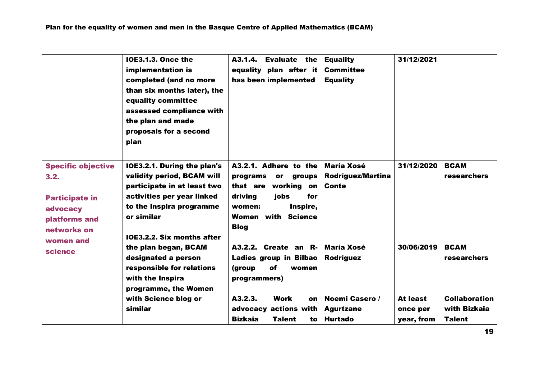|                                                                                                        | <b>IOE3.1.3. Once the</b><br>implementation is<br>completed (and no more<br>than six months later), the<br>equality committee<br>assessed compliance with<br>the plan and made<br>proposals for a second<br>plan | <b>Evaluate the</b><br>A3.1.4.<br>equality plan after it<br>has been implemented                                                                                               | <b>Equality</b><br><b>Committee</b><br><b>Equality</b> | 31/12/2021                         |                                                       |
|--------------------------------------------------------------------------------------------------------|------------------------------------------------------------------------------------------------------------------------------------------------------------------------------------------------------------------|--------------------------------------------------------------------------------------------------------------------------------------------------------------------------------|--------------------------------------------------------|------------------------------------|-------------------------------------------------------|
| <b>Specific objective</b><br>3.2.<br><b>Participate in</b><br>advocacy<br>platforms and<br>networks on | IOE3.2.1. During the plan's<br>validity period, BCAM will<br>participate in at least two<br>activities per year linked<br>to the Inspira programme<br>or similar<br>IOE3.2.2. Six months after                   | A3.2.1. Adhere to the<br>programs<br>groups<br><b>or</b><br>working on<br>that are<br>driving<br>jobs<br>for<br>Inspire,<br>women:<br><b>Women with Science</b><br><b>Blog</b> | <b>María Xosé</b><br>Rodríguez/Martina<br>Conte        | 31/12/2020                         | <b>BCAM</b><br><b>researchers</b>                     |
| women and<br>science                                                                                   | the plan began, BCAM<br>designated a person<br>responsible for relations<br>with the Inspira<br>programme, the Women                                                                                             | A3.2.2. Create an R-<br>Ladies group in Bilbao<br>(group<br>of<br>women<br>programmers)                                                                                        | María Xosé<br>Rodríguez                                | 30/06/2019                         | <b>BCAM</b><br><b>researchers</b>                     |
|                                                                                                        | with Science blog or<br>similar                                                                                                                                                                                  | A3.2.3.<br>Work<br>on<br>advocacy actions with<br><b>Bizkaia</b><br><b>Talent</b><br>to                                                                                        | Noemi Casero /<br><b>Agurtzane</b><br><b>Hurtado</b>   | At least<br>once per<br>year, from | <b>Collaboration</b><br>with Bizkaia<br><b>Talent</b> |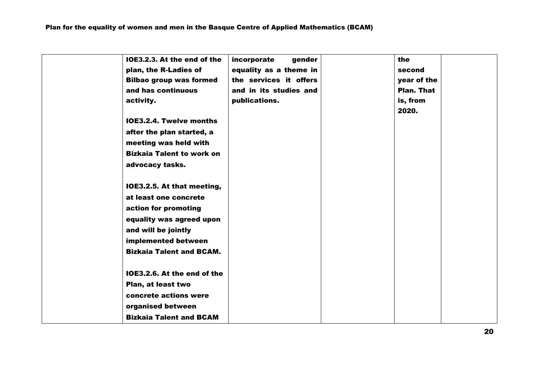| IOE3.2.3. At the end of the      | incorporate<br>gender  | the         |  |
|----------------------------------|------------------------|-------------|--|
| plan, the R-Ladies of            | equality as a theme in | second      |  |
| <b>Bilbao group was formed</b>   | the services it offers | year of the |  |
| and has continuous               | and in its studies and | Plan. That  |  |
| activity.                        | publications.          | is, from    |  |
|                                  |                        | 2020.       |  |
| <b>IOE3.2.4. Twelve months</b>   |                        |             |  |
| after the plan started, a        |                        |             |  |
| meeting was held with            |                        |             |  |
| <b>Bizkaia Talent to work on</b> |                        |             |  |
| advocacy tasks.                  |                        |             |  |
|                                  |                        |             |  |
| IOE3.2.5. At that meeting,       |                        |             |  |
| at least one concrete            |                        |             |  |
| action for promoting             |                        |             |  |
| equality was agreed upon         |                        |             |  |
| and will be jointly              |                        |             |  |
| implemented between              |                        |             |  |
| <b>Bizkaia Talent and BCAM.</b>  |                        |             |  |
|                                  |                        |             |  |
| IOE3.2.6. At the end of the      |                        |             |  |
| Plan, at least two               |                        |             |  |
| concrete actions were            |                        |             |  |
| organised between                |                        |             |  |
| <b>Bizkaia Talent and BCAM</b>   |                        |             |  |
|                                  |                        |             |  |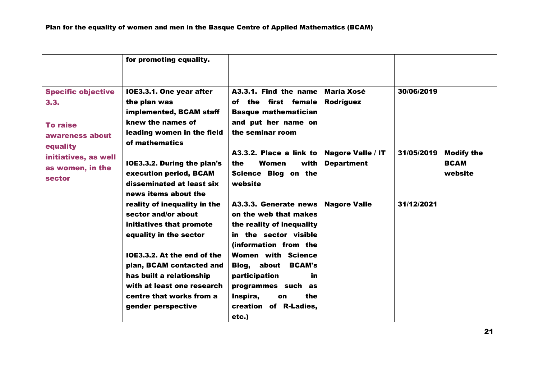|                                                                                                                                           | for promoting equality.                                                                                                                                                                                                                                                                                                                                                                                                                                                                         |                                                                                                                                                                                                                                                                                                                                                                                                                                                              |                                                                                                        |                                        |                                             |
|-------------------------------------------------------------------------------------------------------------------------------------------|-------------------------------------------------------------------------------------------------------------------------------------------------------------------------------------------------------------------------------------------------------------------------------------------------------------------------------------------------------------------------------------------------------------------------------------------------------------------------------------------------|--------------------------------------------------------------------------------------------------------------------------------------------------------------------------------------------------------------------------------------------------------------------------------------------------------------------------------------------------------------------------------------------------------------------------------------------------------------|--------------------------------------------------------------------------------------------------------|----------------------------------------|---------------------------------------------|
| <b>Specific objective</b><br>3.3.<br><b>To raise</b><br>awareness about<br>equality<br>initiatives, as well<br>as women, in the<br>sector | IOE3.3.1. One year after<br>the plan was<br>implemented, BCAM staff<br>knew the names of<br>leading women in the field<br>of mathematics<br><b>IOE3.3.2. During the plan's</b><br>execution period, BCAM<br>disseminated at least six<br>news items about the<br>reality of inequality in the<br>sector and/or about<br>initiatives that promote<br>equality in the sector<br>IOE3.3.2. At the end of the<br>plan, BCAM contacted and<br>has built a relationship<br>with at least one research | $A3.3.1.$ Find the name<br>of the first female<br><b>Basque mathematician</b><br>and put her name on<br>the seminar room<br>A3.3.2. Place a link to<br>Women<br>with<br>the<br>Science Blog on the<br>website<br>A3.3.3. Generate news<br>on the web that makes<br>the reality of inequality<br>in the sector visible<br>(information from the<br>Women with Science<br>Blog, about<br><b>BCAM's</b><br>participation<br>in.<br>programmes such<br><b>as</b> | <b>María Xosé</b><br>Rodríguez<br><b>Nagore Valle / IT</b><br><b>Department</b><br><b>Nagore Valle</b> | 30/06/2019<br>31/05/2019<br>31/12/2021 | <b>Modify the</b><br><b>BCAM</b><br>website |
|                                                                                                                                           | centre that works from a                                                                                                                                                                                                                                                                                                                                                                                                                                                                        | Inspira,<br>the<br>on                                                                                                                                                                                                                                                                                                                                                                                                                                        |                                                                                                        |                                        |                                             |
|                                                                                                                                           | gender perspective                                                                                                                                                                                                                                                                                                                                                                                                                                                                              | creation of R-Ladies,<br>etc.)                                                                                                                                                                                                                                                                                                                                                                                                                               |                                                                                                        |                                        |                                             |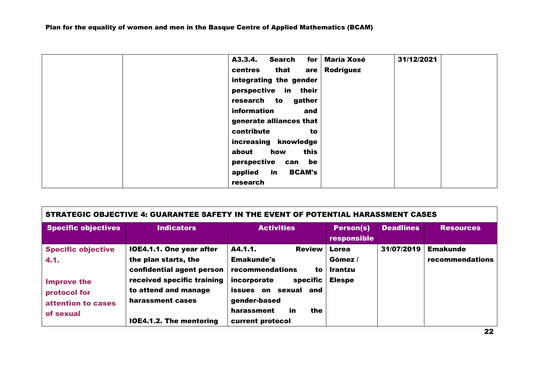| A3.3.4.<br>Search<br>for       | <b>María Xosé</b> | 31/12/2021 |  |
|--------------------------------|-------------------|------------|--|
| that<br>centres<br>are         | Rodríguez         |            |  |
| integrating the gender         |                   |            |  |
| in their<br>perspective        |                   |            |  |
| research to<br>gather          |                   |            |  |
| information<br>and             |                   |            |  |
| generate alliances that        |                   |            |  |
| contribute<br>to               |                   |            |  |
| increasing knowledge           |                   |            |  |
| this<br>how<br>about           |                   |            |  |
| perspective can<br>be          |                   |            |  |
| in<br><b>BCAM's</b><br>applied |                   |            |  |
| research                       |                   |            |  |

|                                                                                                            | STRATEGIC OBJECTIVE 4: GUARANTEE SAFETY IN THE EVENT OF POTENTIAL HARASSMENT CASES                                                                                                        |                                                                                                                                                                                             |                                                            |                  |                                    |
|------------------------------------------------------------------------------------------------------------|-------------------------------------------------------------------------------------------------------------------------------------------------------------------------------------------|---------------------------------------------------------------------------------------------------------------------------------------------------------------------------------------------|------------------------------------------------------------|------------------|------------------------------------|
| <b>Specific objectives</b>                                                                                 | <b>Indicators</b>                                                                                                                                                                         | <b>Activities</b>                                                                                                                                                                           | <b>Person(s)</b><br>responsible                            | <b>Deadlines</b> | <b>Resources</b>                   |
| <b>Specific objective</b><br>4.1.<br><b>Improve the</b><br>protocol for<br>attention to cases<br>of sexual | IOE4.1.1. One year after<br>the plan starts, the<br>confidential agent person<br>received specific training<br>to attend and manage<br>harassment cases<br><b>IOE4.1.2. The mentoring</b> | A4.1.1.<br><b>Review</b><br><b>Emakunde's</b><br>recommendations<br>to<br>incorporate<br>specific<br>issues on<br>sexual and<br>gender-based<br>harassment<br>the<br>in<br>current protocol | <b>Lorea</b><br>Gómez /<br><b>Irantzu</b><br><b>Elespe</b> | 31/07/2019       | <b>Emakunde</b><br>recommendations |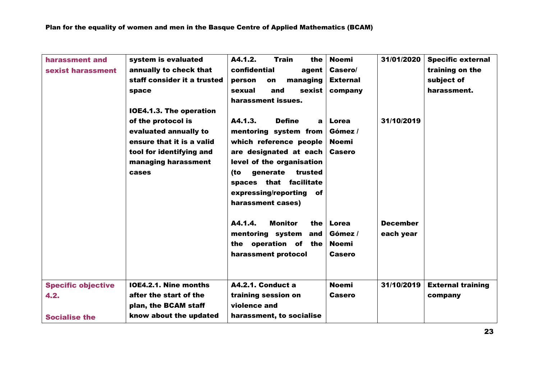| harassment and            | system is evaluated          | A4.1.2.<br><b>Train</b><br>the           | <b>Noemi</b>    | 31/01/2020      | <b>Specific external</b> |
|---------------------------|------------------------------|------------------------------------------|-----------------|-----------------|--------------------------|
| sexist harassment         | annually to check that       | confidential<br>agent                    | Casero/         |                 | training on the          |
|                           | staff consider it a trusted  | managing<br>person<br>on                 | <b>External</b> |                 | subject of               |
|                           | space                        | sexual<br>and<br>sexist                  | company         |                 | harassment.              |
|                           |                              | harassment issues.                       |                 |                 |                          |
|                           | IOE4.1.3. The operation      |                                          |                 |                 |                          |
|                           | of the protocol is           | A4.1.3.<br><b>Define</b><br>$\mathbf{a}$ | Lorea           | 31/10/2019      |                          |
|                           | evaluated annually to        | mentoring system from                    | Gómez /         |                 |                          |
|                           | ensure that it is a valid    | which reference people                   | <b>Noemi</b>    |                 |                          |
|                           | tool for identifying and     | are designated at each                   | <b>Casero</b>   |                 |                          |
|                           | managing harassment          | level of the organisation                |                 |                 |                          |
|                           | cases                        | generate<br>trusted<br>(to               |                 |                 |                          |
|                           |                              |                                          |                 |                 |                          |
|                           |                              | spaces that facilitate                   |                 |                 |                          |
|                           |                              | expressing/reporting of                  |                 |                 |                          |
|                           |                              | harassment cases)                        |                 |                 |                          |
|                           |                              |                                          |                 |                 |                          |
|                           |                              | A4.1.4.<br><b>Monitor</b><br>the         | Lorea           | <b>December</b> |                          |
|                           |                              | mentoring system<br>and                  | Gómez /         | each year       |                          |
|                           |                              | the operation of the                     | <b>Noemi</b>    |                 |                          |
|                           |                              | harassment protocol                      | <b>Casero</b>   |                 |                          |
|                           |                              |                                          |                 |                 |                          |
|                           |                              |                                          |                 |                 |                          |
| <b>Specific objective</b> | <b>IOE4.2.1. Nine months</b> | A4.2.1. Conduct a                        | <b>Noemi</b>    | 31/10/2019      | <b>External training</b> |
| 4.2.                      | after the start of the       | training session on                      | <b>Casero</b>   |                 | company                  |
|                           | plan, the BCAM staff         | violence and                             |                 |                 |                          |
| <b>Socialise the</b>      | know about the updated       | harassment, to socialise                 |                 |                 |                          |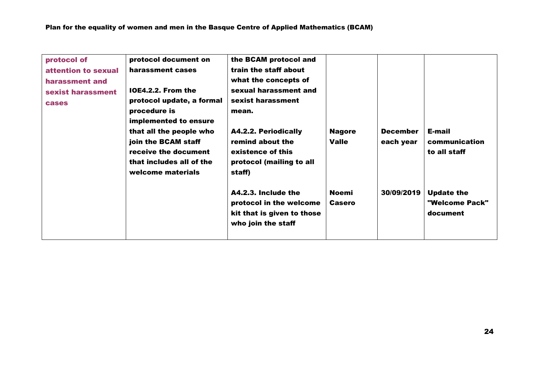| protocol of<br>attention to sexual<br>harassment and<br>sexist harassment<br><b>cases</b> | protocol document on<br>harassment cases<br>IOE4.2.2. From the<br>protocol update, a formal<br>procedure is<br>implemented to ensure<br>that all the people who<br>join the BCAM staff<br>receive the document<br>that includes all of the<br>welcome materials | the BCAM protocol and<br>train the staff about<br>what the concepts of<br>sexual harassment and<br>sexist harassment<br>mean.<br><b>A4.2.2. Periodically</b><br>remind about the<br>existence of this<br>protocol (mailing to all<br>staff) | <b>Nagore</b><br><b>Valle</b> | <b>December</b><br>each year | E-mail<br>communication<br>to all staff         |
|-------------------------------------------------------------------------------------------|-----------------------------------------------------------------------------------------------------------------------------------------------------------------------------------------------------------------------------------------------------------------|---------------------------------------------------------------------------------------------------------------------------------------------------------------------------------------------------------------------------------------------|-------------------------------|------------------------------|-------------------------------------------------|
|                                                                                           |                                                                                                                                                                                                                                                                 | A4.2.3. Include the<br>protocol in the welcome<br>kit that is given to those<br>who join the staff                                                                                                                                          | <b>Noemi</b><br><b>Casero</b> | 30/09/2019                   | <b>Update the</b><br>"Welcome Pack"<br>document |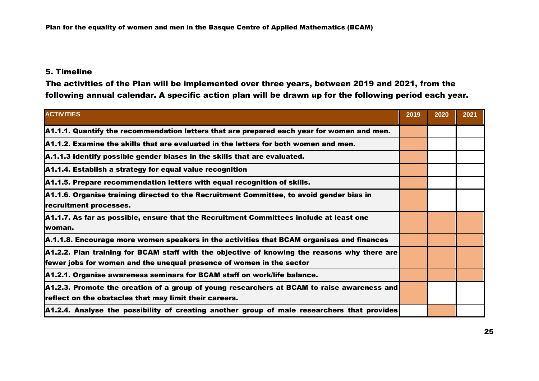### 5. Timeline

The activities of the Plan will be implemented over three years, between 2019 and 2021, from the following annual calendar. A specific action plan will be drawn up for the following period each year.

| <b>ACTIVITIES</b>                                                                                                                                                    | 2019 | 2020 | 2021 |
|----------------------------------------------------------------------------------------------------------------------------------------------------------------------|------|------|------|
| A1.1.1. Quantify the recommendation letters that are prepared each year for women and men.                                                                           |      |      |      |
| A1.1.2. Examine the skills that are evaluated in the letters for both women and men.                                                                                 |      |      |      |
| A.1.1.3 Identify possible gender biases in the skills that are evaluated.                                                                                            |      |      |      |
| A1.1.4. Establish a strategy for equal value recognition                                                                                                             |      |      |      |
| A1.1.5. Prepare recommendation letters with equal recognition of skills.                                                                                             |      |      |      |
| A1.1.6. Organise training directed to the Recruitment Committee, to avoid gender bias in<br>recruitment processes.                                                   |      |      |      |
| A1.1.7. As far as possible, ensure that the Recruitment Committees include at least one<br>lwoman.                                                                   |      |      |      |
| A.1.1.8. Encourage more women speakers in the activities that BCAM organises and finances                                                                            |      |      |      |
| A1.2.2. Plan training for BCAM staff with the objective of knowing the reasons why there are<br>fewer jobs for women and the unequal presence of women in the sector |      |      |      |
| A1.2.1. Organise awareness seminars for BCAM staff on work/life balance.                                                                                             |      |      |      |
| A1.2.3. Promote the creation of a group of young researchers at BCAM to raise awareness and<br>reflect on the obstacles that may limit their careers.                |      |      |      |
| A1.2.4. Analyse the possibility of creating another group of male researchers that provides                                                                          |      |      |      |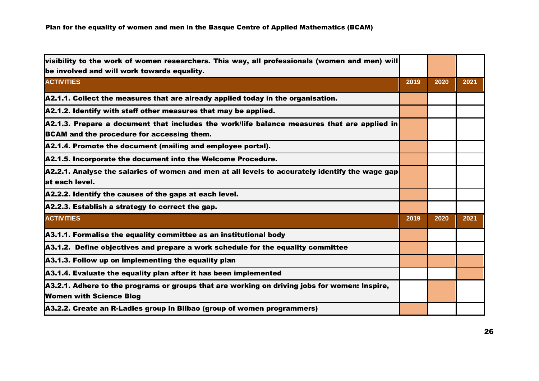| visibility to the work of women researchers. This way, all professionals (women and men) will                                             |      |      |      |
|-------------------------------------------------------------------------------------------------------------------------------------------|------|------|------|
| be involved and will work towards equality.                                                                                               |      |      |      |
| <b>ACTIVITIES</b>                                                                                                                         | 2019 | 2020 | 2021 |
| A2.1.1. Collect the measures that are already applied today in the organisation.                                                          |      |      |      |
| A2.1.2. Identify with staff other measures that may be applied.                                                                           |      |      |      |
| A2.1.3. Prepare a document that includes the work/life balance measures that are applied in<br>BCAM and the procedure for accessing them. |      |      |      |
| A2.1.4. Promote the document (mailing and employee portal).                                                                               |      |      |      |
| A2.1.5. Incorporate the document into the Welcome Procedure.                                                                              |      |      |      |
| A2.2.1. Analyse the salaries of women and men at all levels to accurately identify the wage gap<br>at each level.                         |      |      |      |
| A2.2.2. Identify the causes of the gaps at each level.                                                                                    |      |      |      |
| A2.2.3. Establish a strategy to correct the gap.                                                                                          |      |      |      |
| <b>ACTIVITIES</b>                                                                                                                         | 2019 | 2020 | 2021 |
| A3.1.1. Formalise the equality committee as an institutional body                                                                         |      |      |      |
| A3.1.2. Define objectives and prepare a work schedule for the equality committee                                                          |      |      |      |
| A3.1.3. Follow up on implementing the equality plan                                                                                       |      |      |      |
| A3.1.4. Evaluate the equality plan after it has been implemented                                                                          |      |      |      |
| A3.2.1. Adhere to the programs or groups that are working on driving jobs for women: Inspire,<br><b>Women with Science Blog</b>           |      |      |      |
| <b>A3.2.2. Create an R-Ladies group in Bilbao (group of women programmers)</b>                                                            |      |      |      |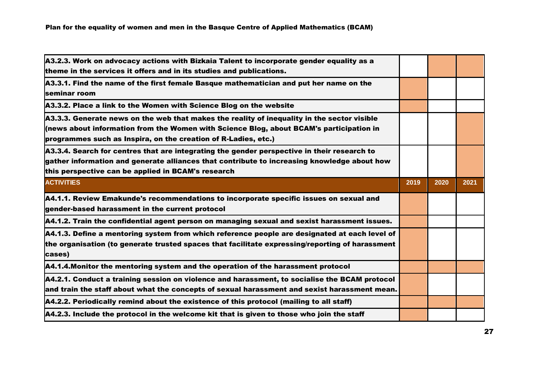| A3.2.3. Work on advocacy actions with Bizkaia Talent to incorporate gender equality as a<br>theme in the services it offers and in its studies and publications.                                                                                         |      |      |      |
|----------------------------------------------------------------------------------------------------------------------------------------------------------------------------------------------------------------------------------------------------------|------|------|------|
| A3.3.1. Find the name of the first female Basque mathematician and put her name on the<br>seminar room                                                                                                                                                   |      |      |      |
| A3.3.2. Place a link to the Women with Science Blog on the website                                                                                                                                                                                       |      |      |      |
| A3.3.3. Generate news on the web that makes the reality of inequality in the sector visible<br>(news about information from the Women with Science Blog, about BCAM's participation in<br>programmes such as Inspira, on the creation of R-Ladies, etc.) |      |      |      |
| A3.3.4. Search for centres that are integrating the gender perspective in their research to<br>gather information and generate alliances that contribute to increasing knowledge about how<br>this perspective can be applied in BCAM's research         |      |      |      |
| <b>ACTIVITIES</b>                                                                                                                                                                                                                                        | 2019 | 2020 | 2021 |
| A4.1.1. Review Emakunde's recommendations to incorporate specific issues on sexual and<br>gender-based harassment in the current protocol                                                                                                                |      |      |      |
| A4.1.2. Train the confidential agent person on managing sexual and sexist harassment issues.                                                                                                                                                             |      |      |      |
| A4.1.3. Define a mentoring system from which reference people are designated at each level of<br>the organisation (to generate trusted spaces that facilitate expressing/reporting of harassment<br>cases)                                               |      |      |      |
|                                                                                                                                                                                                                                                          |      |      |      |
| A4.1.4. Monitor the mentoring system and the operation of the harassment protocol                                                                                                                                                                        |      |      |      |
| A4.2.1. Conduct a training session on violence and harassment, to socialise the BCAM protocol<br>and train the staff about what the concepts of sexual harassment and sexist harassment mean.                                                            |      |      |      |
| A4.2.2. Periodically remind about the existence of this protocol (mailing to all staff)                                                                                                                                                                  |      |      |      |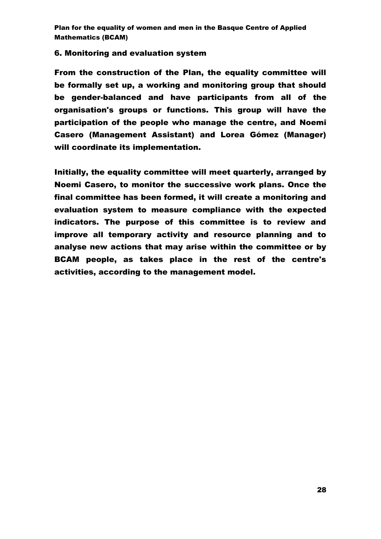#### 6. Monitoring and evaluation system

From the construction of the Plan, the equality committee will be formally set up, a working and monitoring group that should be gender-balanced and have participants from all of the organisation's groups or functions. This group will have the participation of the people who manage the centre, and Noemi Casero (Management Assistant) and Lorea Gómez (Manager) will coordinate its implementation.

Initially, the equality committee will meet quarterly, arranged by Noemi Casero, to monitor the successive work plans. Once the final committee has been formed, it will create a monitoring and evaluation system to measure compliance with the expected indicators. The purpose of this committee is to review and improve all temporary activity and resource planning and to analyse new actions that may arise within the committee or by BCAM people, as takes place in the rest of the centre's activities, according to the management model.